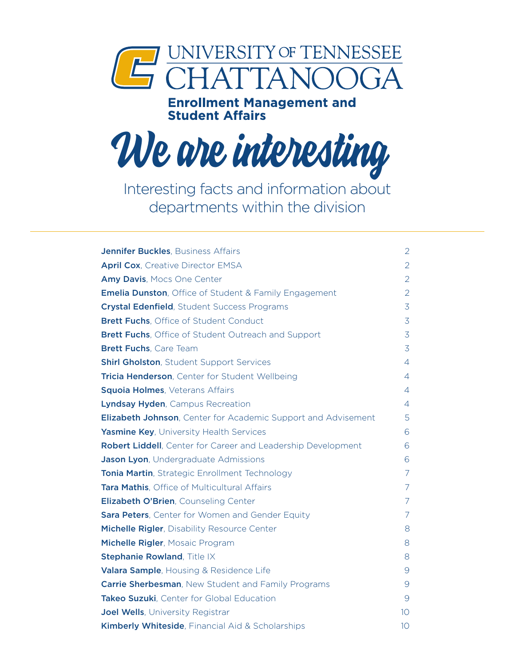

# **Enrollment Management and<br>Student Affairs**



Interesting facts and information about departments within the division

| <b>Jennifer Buckles, Business Affairs</b>                            | 2               |
|----------------------------------------------------------------------|-----------------|
| <b>April Cox, Creative Director EMSA</b>                             | $\overline{2}$  |
| Amy Davis, Mocs One Center                                           | $\overline{2}$  |
| <b>Emelia Dunston, Office of Student &amp; Family Engagement</b>     | $\overline{2}$  |
| <b>Crystal Edenfield, Student Success Programs</b>                   | $\overline{3}$  |
| <b>Brett Fuchs, Office of Student Conduct</b>                        | $\overline{3}$  |
| Brett Fuchs, Office of Student Outreach and Support                  | $\overline{3}$  |
| <b>Brett Fuchs, Care Team</b>                                        | $\overline{3}$  |
| <b>Shirl Gholston, Student Support Services</b>                      | 4               |
| Tricia Henderson, Center for Student Wellbeing                       | $\overline{4}$  |
| <b>Squoia Holmes, Veterans Affairs</b>                               | 4               |
| Lyndsay Hyden, Campus Recreation                                     | 4               |
| <b>Elizabeth Johnson, Center for Academic Support and Advisement</b> | 5               |
| Yasmine Key, University Health Services                              | 6               |
| Robert Liddell, Center for Career and Leadership Development         | 6               |
| Jason Lyon, Undergraduate Admissions                                 | 6               |
| Tonia Martin, Strategic Enrollment Technology                        | 7               |
| Tara Mathis, Office of Multicultural Affairs                         | 7               |
| Elizabeth O'Brien, Counseling Center                                 | 7               |
| Sara Peters, Center for Women and Gender Equity                      | 7               |
| Michelle Rigler, Disability Resource Center                          | 8               |
| Michelle Rigler, Mosaic Program                                      | 8               |
| Stephanie Rowland, Title IX                                          | 8               |
| Valara Sample, Housing & Residence Life                              | 9               |
| <b>Carrie Sherbesman, New Student and Family Programs</b>            | 9               |
| Takeo Suzuki, Center for Global Education                            | 9               |
| Joel Wells, University Registrar                                     | 10 <sup>°</sup> |
| Kimberly Whiteside, Financial Aid & Scholarships                     | 10              |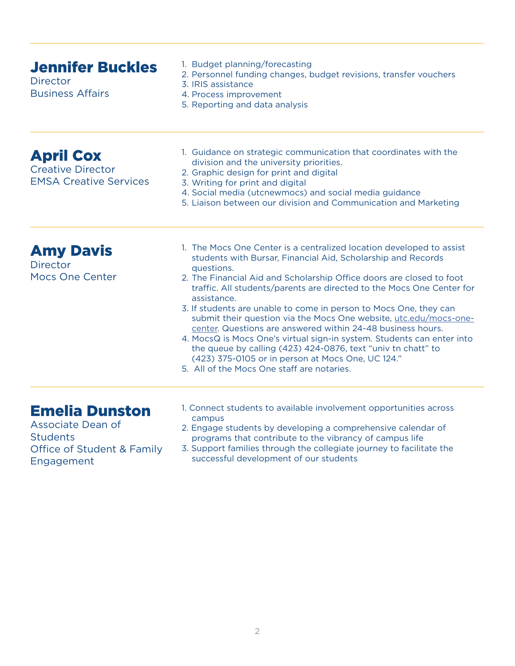<span id="page-1-0"></span>

| <b>Jennifer Buckles</b><br><b>Director</b><br><b>Business Affairs</b>                                     | 1. Budget planning/forecasting<br>2. Personnel funding changes, budget revisions, transfer vouchers<br>3. IRIS assistance<br>4. Process improvement<br>5. Reporting and data analysis                                                                                                                                                                                                                                                                                                                                                                                                                                                                                                                                                                                    |
|-----------------------------------------------------------------------------------------------------------|--------------------------------------------------------------------------------------------------------------------------------------------------------------------------------------------------------------------------------------------------------------------------------------------------------------------------------------------------------------------------------------------------------------------------------------------------------------------------------------------------------------------------------------------------------------------------------------------------------------------------------------------------------------------------------------------------------------------------------------------------------------------------|
| <b>April Cox</b><br><b>Creative Director</b><br><b>EMSA Creative Services</b>                             | 1. Guidance on strategic communication that coordinates with the<br>division and the university priorities.<br>2. Graphic design for print and digital<br>3. Writing for print and digital<br>4. Social media (utcnewmocs) and social media guidance<br>5. Liaison between our division and Communication and Marketing                                                                                                                                                                                                                                                                                                                                                                                                                                                  |
| <b>Amy Davis</b><br><b>Director</b><br><b>Mocs One Center</b>                                             | 1. The Mocs One Center is a centralized location developed to assist<br>students with Bursar, Financial Aid, Scholarship and Records<br>questions.<br>2. The Financial Aid and Scholarship Office doors are closed to foot<br>traffic. All students/parents are directed to the Mocs One Center for<br>assistance.<br>3. If students are unable to come in person to Mocs One, they can<br>submit their question via the Mocs One website, utc.edu/mocs-one-<br>center. Questions are answered within 24-48 business hours.<br>4. MocsQ is Mocs One's virtual sign-in system. Students can enter into<br>the queue by calling (423) 424-0876, text "univ tn chatt" to<br>(423) 375-0105 or in person at Mocs One, UC 124."<br>5. All of the Mocs One staff are notaries. |
| <b>Emelia Dunston</b><br>Associate Dean of<br><b>Students</b><br>Office of Student & Family<br>Engagement | 1. Connect students to available involvement opportunities across<br>campus<br>2. Engage students by developing a comprehensive calendar of<br>programs that contribute to the vibrancy of campus life<br>3. Support families through the collegiate journey to facilitate the<br>successful development of our students                                                                                                                                                                                                                                                                                                                                                                                                                                                 |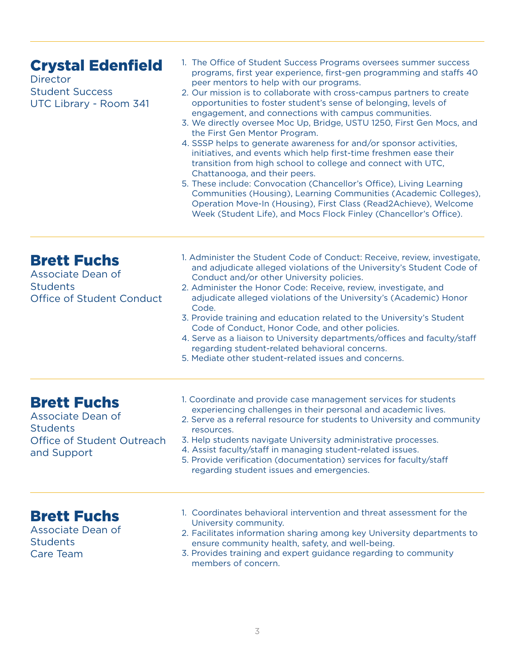<span id="page-2-0"></span>

| <b>Crystal Edenfield</b><br><b>Director</b><br><b>Student Success</b><br>UTC Library - Room 341         | 1. The Office of Student Success Programs oversees summer success<br>programs, first year experience, first-gen programming and staffs 40<br>peer mentors to help with our programs.<br>2. Our mission is to collaborate with cross-campus partners to create<br>opportunities to foster student's sense of belonging, levels of<br>engagement, and connections with campus communities.<br>3. We directly oversee Moc Up, Bridge, USTU 1250, First Gen Mocs, and<br>the First Gen Mentor Program.<br>4. SSSP helps to generate awareness for and/or sponsor activities,<br>initiatives, and events which help first-time freshmen ease their<br>transition from high school to college and connect with UTC,<br>Chattanooga, and their peers.<br>5. These include: Convocation (Chancellor's Office), Living Learning<br>Communities (Housing), Learning Communities (Academic Colleges),<br>Operation Move-In (Housing), First Class (Read2Achieve), Welcome<br>Week (Student Life), and Mocs Flock Finley (Chancellor's Office). |
|---------------------------------------------------------------------------------------------------------|-------------------------------------------------------------------------------------------------------------------------------------------------------------------------------------------------------------------------------------------------------------------------------------------------------------------------------------------------------------------------------------------------------------------------------------------------------------------------------------------------------------------------------------------------------------------------------------------------------------------------------------------------------------------------------------------------------------------------------------------------------------------------------------------------------------------------------------------------------------------------------------------------------------------------------------------------------------------------------------------------------------------------------------|
| <b>Brett Fuchs</b><br>Associate Dean of<br><b>Students</b><br><b>Office of Student Conduct</b>          | 1. Administer the Student Code of Conduct: Receive, review, investigate,<br>and adjudicate alleged violations of the University's Student Code of<br>Conduct and/or other University policies.<br>2. Administer the Honor Code: Receive, review, investigate, and<br>adjudicate alleged violations of the University's (Academic) Honor<br>Code.<br>3. Provide training and education related to the University's Student<br>Code of Conduct, Honor Code, and other policies.<br>4. Serve as a liaison to University departments/offices and faculty/staff<br>regarding student-related behavioral concerns.<br>5. Mediate other student-related issues and concerns.                                                                                                                                                                                                                                                                                                                                                               |
| <b>Brett Fuchs</b><br>Associate Dean of<br><b>Students</b><br>Office of Student Outreach<br>and Support | 1. Coordinate and provide case management services for students<br>experiencing challenges in their personal and academic lives.<br>2. Serve as a referral resource for students to University and community<br>resources.<br>3. Help students navigate University administrative processes.<br>4. Assist faculty/staff in managing student-related issues.<br>5. Provide verification (documentation) services for faculty/staff<br>regarding student issues and emergencies.                                                                                                                                                                                                                                                                                                                                                                                                                                                                                                                                                      |
| <b>Brett Fuchs</b><br>Associate Dean of<br><b>Students</b><br><b>Care Team</b>                          | 1. Coordinates behavioral intervention and threat assessment for the<br>University community.<br>2. Facilitates information sharing among key University departments to<br>ensure community health, safety, and well-being.<br>3. Provides training and expert guidance regarding to community<br>members of concern.                                                                                                                                                                                                                                                                                                                                                                                                                                                                                                                                                                                                                                                                                                               |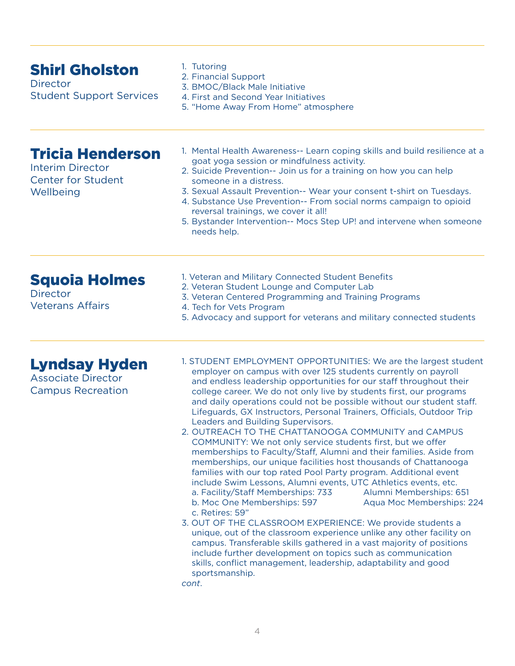<span id="page-3-0"></span>

| <b>Shirl Gholston</b><br><b>Director</b><br><b>Student Support Services</b>                  | 1. Tutoring<br>2. Financial Support<br>3. BMOC/Black Male Initiative<br>4. First and Second Year Initiatives<br>5. "Home Away From Home" atmosphere                                                                                                                                                                                                                                                                                                                                                                                                                                                                                                                                                                                                                                                                                                                                                                                                                                                                                                                                                                                                                                                                                                                                                                                                                                                      |
|----------------------------------------------------------------------------------------------|----------------------------------------------------------------------------------------------------------------------------------------------------------------------------------------------------------------------------------------------------------------------------------------------------------------------------------------------------------------------------------------------------------------------------------------------------------------------------------------------------------------------------------------------------------------------------------------------------------------------------------------------------------------------------------------------------------------------------------------------------------------------------------------------------------------------------------------------------------------------------------------------------------------------------------------------------------------------------------------------------------------------------------------------------------------------------------------------------------------------------------------------------------------------------------------------------------------------------------------------------------------------------------------------------------------------------------------------------------------------------------------------------------|
| <b>Tricia Henderson</b><br><b>Interim Director</b><br><b>Center for Student</b><br>Wellbeing | 1. Mental Health Awareness-- Learn coping skills and build resilience at a<br>goat yoga session or mindfulness activity.<br>2. Suicide Prevention-- Join us for a training on how you can help<br>someone in a distress.<br>3. Sexual Assault Prevention-- Wear your consent t-shirt on Tuesdays.<br>4. Substance Use Prevention-- From social norms campaign to opioid<br>reversal trainings, we cover it all!<br>5. Bystander Intervention-- Mocs Step UP! and intervene when someone<br>needs help.                                                                                                                                                                                                                                                                                                                                                                                                                                                                                                                                                                                                                                                                                                                                                                                                                                                                                                   |
| <b>Squoia Holmes</b><br><b>Director</b><br><b>Veterans Affairs</b>                           | 1. Veteran and Military Connected Student Benefits<br>2. Veteran Student Lounge and Computer Lab<br>3. Veteran Centered Programming and Training Programs<br>4. Tech for Vets Program<br>5. Advocacy and support for veterans and military connected students                                                                                                                                                                                                                                                                                                                                                                                                                                                                                                                                                                                                                                                                                                                                                                                                                                                                                                                                                                                                                                                                                                                                            |
| <b>Lyndsay Hyden</b><br><b>Associate Director</b><br><b>Campus Recreation</b>                | 1. STUDENT EMPLOYMENT OPPORTUNITIES: We are the largest student<br>employer on campus with over 125 students currently on payroll<br>and endless leadership opportunities for our staff throughout their<br>college career. We do not only live by students first, our programs<br>and daily operations could not be possible without our student staff.<br>Lifeguards, GX Instructors, Personal Trainers, Officials, Outdoor Trip<br>Leaders and Building Supervisors.<br>2. OUTREACH TO THE CHATTANOOGA COMMUNITY and CAMPUS<br>COMMUNITY: We not only service students first, but we offer<br>memberships to Faculty/Staff, Alumni and their families. Aside from<br>memberships, our unique facilities host thousands of Chattanooga<br>families with our top rated Pool Party program. Additional event<br>include Swim Lessons, Alumni events, UTC Athletics events, etc.<br>a. Facility/Staff Memberships: 733<br>Alumni Memberships: 651<br>b. Moc One Memberships: 597<br>Aqua Moc Memberships: 224<br>c. Retires: 59"<br>3. OUT OF THE CLASSROOM EXPERIENCE: We provide students a<br>unique, out of the classroom experience unlike any other facility on<br>campus. Transferable skills gathered in a vast majority of positions<br>include further development on topics such as communication<br>skills, conflict management, leadership, adaptability and good<br>sportsmanship.<br>cont. |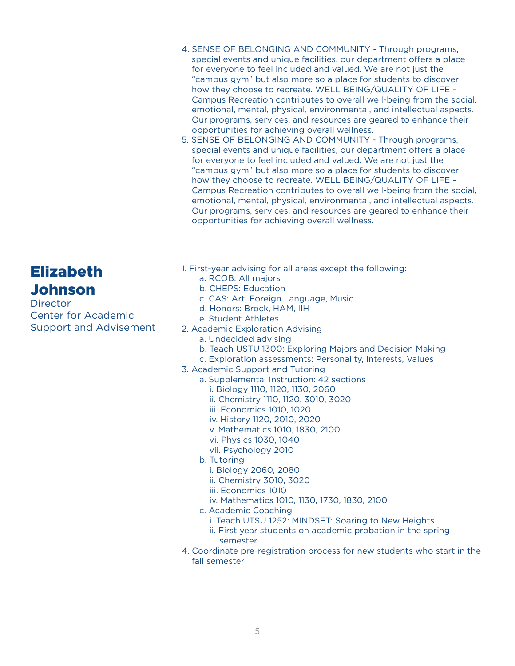- <span id="page-4-0"></span>4. SENSE OF BELONGING AND COMMUNITY - Through programs, special events and unique facilities, our department offers a place for everyone to feel included and valued. We are not just the "campus gym" but also more so a place for students to discover how they choose to recreate. WELL BEING/QUALITY OF LIFE – Campus Recreation contributes to overall well-being from the social, emotional, mental, physical, environmental, and intellectual aspects. Our programs, services, and resources are geared to enhance their opportunities for achieving overall wellness.
- 5. SENSE OF BELONGING AND COMMUNITY Through programs, special events and unique facilities, our department offers a place for everyone to feel included and valued. We are not just the "campus gym" but also more so a place for students to discover how they choose to recreate. WELL BEING/QUALITY OF LIFE – Campus Recreation contributes to overall well-being from the social, emotional, mental, physical, environmental, and intellectual aspects. Our programs, services, and resources are geared to enhance their opportunities for achieving overall wellness.

# Elizabeth Johnson

**Director** Center for Academic Support and Advisement

- 1. First-year advising for all areas except the following:
	- a. RCOB: All majors
	- b. CHEPS: Education
	- c. CAS: Art, Foreign Language, Music
	- d. Honors: Brock, HAM, IIH
	- e. Student Athletes
- 2. Academic Exploration Advising
	- a. Undecided advising
	- b. Teach USTU 1300: Exploring Majors and Decision Making
	- c. Exploration assessments: Personality, Interests, Values
- 3. Academic Support and Tutoring
	- a. Supplemental Instruction: 42 sections
		- i. Biology 1110, 1120, 1130, 2060
		- ii. Chemistry 1110, 1120, 3010, 3020
		- iii. Economics 1010, 1020
		- iv. History 1120, 2010, 2020
		- v. Mathematics 1010, 1830, 2100
		- vi. Physics 1030, 1040
		- vii. Psychology 2010
	- b. Tutoring
		- i. Biology 2060, 2080
		- ii. Chemistry 3010, 3020
		- iii. Economics 1010
		- iv. Mathematics 1010, 1130, 1730, 1830, 2100
	- c. Academic Coaching
		- i. Teach UTSU 1252: MINDSET: Soaring to New Heights
		- ii. First year students on academic probation in the spring semester
- 4. Coordinate pre-registration process for new students who start in the fall semester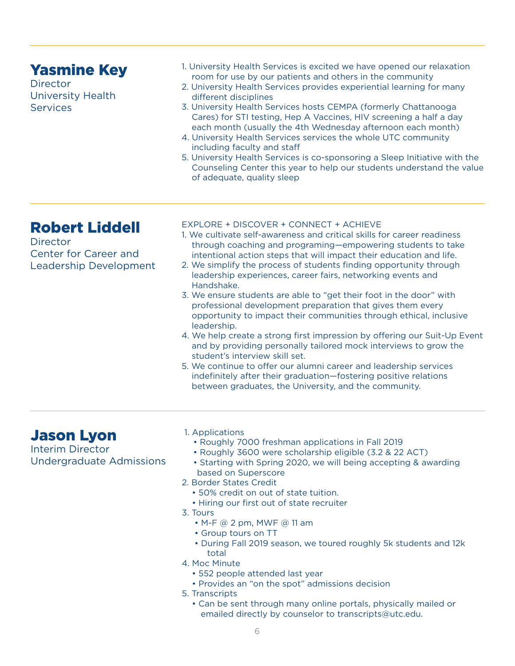## <span id="page-5-0"></span>Yasmine Key

**Director** University Health **Services** 

- 1. University Health Services is excited we have opened our relaxation room for use by our patients and others in the community
- 2. University Health Services provides experiential learning for many different disciplines
- 3. University Health Services hosts CEMPA (formerly Chattanooga Cares) for STI testing, Hep A Vaccines, HIV screening a half a day each month (usually the 4th Wednesday afternoon each month)
- 4. University Health Services services the whole UTC community including faculty and staff
- 5. University Health Services is co-sponsoring a Sleep Initiative with the Counseling Center this year to help our students understand the value of adequate, quality sleep

# Robert Liddell

**Director** Center for Career and Leadership Development

#### EXPLORE + DISCOVER + CONNECT + ACHIEVE

- 1. We cultivate self-awareness and critical skills for career readiness through coaching and programing—empowering students to take intentional action steps that will impact their education and life.
- 2. We simplify the process of students finding opportunity through leadership experiences, career fairs, networking events and Handshake.
- 3. We ensure students are able to "get their foot in the door" with professional development preparation that gives them every opportunity to impact their communities through ethical, inclusive leadership.
- 4. We help create a strong first impression by offering our Suit-Up Event and by providing personally tailored mock interviews to grow the student's interview skill set.
- 5. We continue to offer our alumni career and leadership services indefinitely after their graduation—fostering positive relations between graduates, the University, and the community.

## Jason Lyon

Interim Director Undergraduate Admissions

- 1. Applications
	- Roughly 7000 freshman applications in Fall 2019
	- Roughly 3600 were scholarship eligible (3.2 & 22 ACT)
	- Starting with Spring 2020, we will being accepting & awarding based on Superscore
- 2. Border States Credit
	- 50% credit on out of state tuition.
	- Hiring our first out of state recruiter
- 3. Tours
	- M-F @ 2 pm, MWF @ 11 am
	- Group tours on TT
	- During Fall 2019 season, we toured roughly 5k students and 12k total
- 4. Moc Minute
	- 552 people attended last year
	- Provides an "on the spot" admissions decision
- 5. Transcripts
	- Can be sent through many online portals, physically mailed or emailed directly by counselor to transcripts@utc.edu.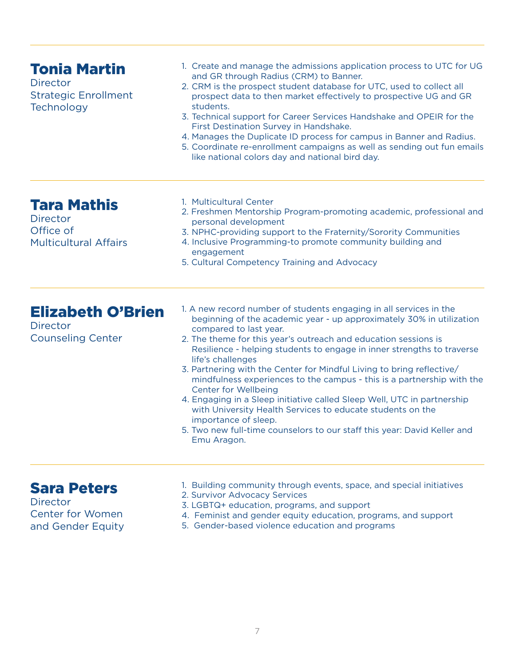<span id="page-6-0"></span>

| <b>Tonia Martin</b><br><b>Director</b><br><b>Strategic Enrollment</b><br>Technology | 1. Create and manage the admissions application process to UTC for UG<br>and GR through Radius (CRM) to Banner.<br>2. CRM is the prospect student database for UTC, used to collect all<br>prospect data to then market effectively to prospective UG and GR<br>students.<br>3. Technical support for Career Services Handshake and OPEIR for the<br>First Destination Survey in Handshake.<br>4. Manages the Duplicate ID process for campus in Banner and Radius.<br>5. Coordinate re-enrollment campaigns as well as sending out fun emails<br>like national colors day and national bird day.                                                                                                                                                                                    |
|-------------------------------------------------------------------------------------|--------------------------------------------------------------------------------------------------------------------------------------------------------------------------------------------------------------------------------------------------------------------------------------------------------------------------------------------------------------------------------------------------------------------------------------------------------------------------------------------------------------------------------------------------------------------------------------------------------------------------------------------------------------------------------------------------------------------------------------------------------------------------------------|
| <b>Tara Mathis</b><br><b>Director</b><br>Office of<br><b>Multicultural Affairs</b>  | 1. Multicultural Center<br>2. Freshmen Mentorship Program-promoting academic, professional and<br>personal development<br>3. NPHC-providing support to the Fraternity/Sorority Communities<br>4. Inclusive Programming-to promote community building and<br>engagement<br>5. Cultural Competency Training and Advocacy                                                                                                                                                                                                                                                                                                                                                                                                                                                               |
| <b>Elizabeth O'Brien</b><br><b>Director</b><br><b>Counseling Center</b>             | 1. A new record number of students engaging in all services in the<br>beginning of the academic year - up approximately 30% in utilization<br>compared to last year.<br>2. The theme for this year's outreach and education sessions is<br>Resilience - helping students to engage in inner strengths to traverse<br>life's challenges<br>3. Partnering with the Center for Mindful Living to bring reflective/<br>mindfulness experiences to the campus - this is a partnership with the<br><b>Center for Wellbeing</b><br>4. Engaging in a Sleep initiative called Sleep Well, UTC in partnership<br>with University Health Services to educate students on the<br>importance of sleep.<br>5. Two new full-time counselors to our staff this year: David Keller and<br>Emu Aragon. |
| <b>Sara Peters</b><br><b>Director</b><br><b>Center for Women</b>                    | 1. Building community through events, space, and special initiatives<br>2. Survivor Advocacy Services<br>3. LGBTQ+ education, programs, and support<br>4. Feminist and gender equity education, programs, and support                                                                                                                                                                                                                                                                                                                                                                                                                                                                                                                                                                |

and Gender Equity

5. Gender-based violence education and programs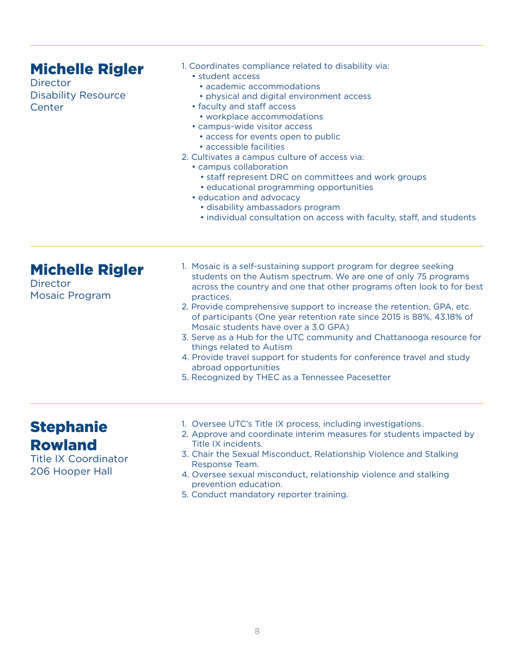#### <span id="page-7-0"></span>1. Coordinates compliance related to disability via: • student access • academic accommodations • physical and digital environment access • faculty and staff access • workplace accommodations • campus-wide visitor access • access for events open to public • accessible facilities 2. Cultivates a campus culture of access via: • campus collaboration • staff represent DRC on committees and work groups • educational programming opportunities • education and advocacy • disability ambassadors program • individual consultation on access with faculty, staff, and students Michelle Rigler **Director** Disability Resource **Center** 1. Mosaic is a self-sustaining support program for degree seeking students on the Autism spectrum. We are one of only 75 programs across the country and one that other programs often look to for best practices. 2. Provide comprehensive support to increase the retention, GPA, etc. of participants (One year retention rate since 2015 is 88%, 43.18% of Mosaic students have over a 3.0 GPA) 3. Serve as a Hub for the UTC community and Chattanooga resource for things related to Autism 4. Provide travel support for students for conference travel and study abroad opportunities 5. Recognized by THEC as a Tennessee Pacesetter Michelle Rigler **Director** Mosaic Program

#### **Stephanie** Rowland

- Title IX Coordinator 206 Hooper Hall
- 1. Oversee UTC's Title IX process, including investigations.
- 2. Approve and coordinate interim measures for students impacted by Title IX incidents.
- 3. Chair the Sexual Misconduct, Relationship Violence and Stalking Response Team.
- 4. Oversee sexual misconduct, relationship violence and stalking prevention education.
- 5. Conduct mandatory reporter training.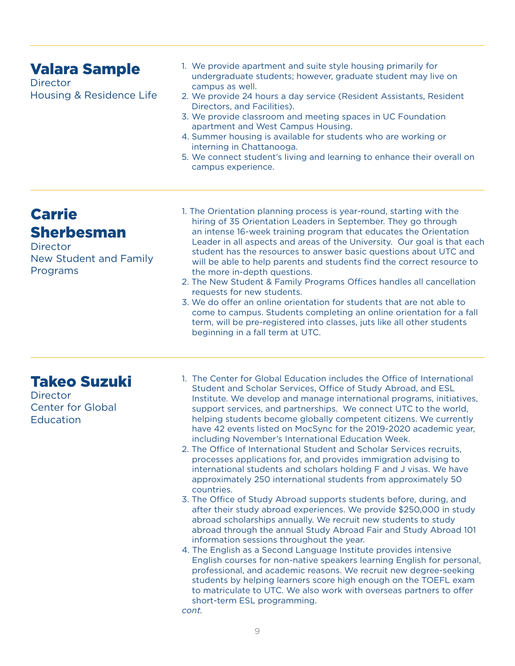## <span id="page-8-0"></span>Valara Sample

**Director** Housing & Residence Life

- 1. We provide apartment and suite style housing primarily for undergraduate students; however, graduate student may live on campus as well.
- 2. We provide 24 hours a day service (Resident Assistants, Resident Directors, and Facilities).
- 3. We provide classroom and meeting spaces in UC Foundation apartment and West Campus Housing.
- 4. Summer housing is available for students who are working or interning in Chattanooga.
- 5. We connect student's living and learning to enhance their overall on campus experience.

# Carrie Sherbesman

**Director** New Student and Family Programs

- 1. The Orientation planning process is year-round, starting with the hiring of 35 Orientation Leaders in September. They go through an intense 16-week training program that educates the Orientation Leader in all aspects and areas of the University. Our goal is that each student has the resources to answer basic questions about UTC and will be able to help parents and students find the correct resource to the more in-depth questions.
- 2. The New Student & Family Programs Offices handles all cancellation requests for new students.
- 3. We do offer an online orientation for students that are not able to come to campus. Students completing an online orientation for a fall term, will be pre-registered into classes, juts like all other students beginning in a fall term at UTC.

## Takeo Suzuki

**Director** Center for Global **Education** 

- 1. The Center for Global Education includes the Office of International Student and Scholar Services, Office of Study Abroad, and ESL Institute. We develop and manage international programs, initiatives, support services, and partnerships. We connect UTC to the world, helping students become globally competent citizens. We currently have 42 events listed on MocSync for the 2019-2020 academic year, including November's International Education Week.
- 2. The Office of International Student and Scholar Services recruits, processes applications for, and provides immigration advising to international students and scholars holding F and J visas. We have approximately 250 international students from approximately 50 countries.
- 3. The Office of Study Abroad supports students before, during, and after their study abroad experiences. We provide \$250,000 in study abroad scholarships annually. We recruit new students to study abroad through the annual Study Abroad Fair and Study Abroad 101 information sessions throughout the year.
- 4. The English as a Second Language Institute provides intensive English courses for non-native speakers learning English for personal, professional, and academic reasons. We recruit new degree-seeking students by helping learners score high enough on the TOEFL exam to matriculate to UTC. We also work with overseas partners to offer short-term ESL programming.

*cont.*